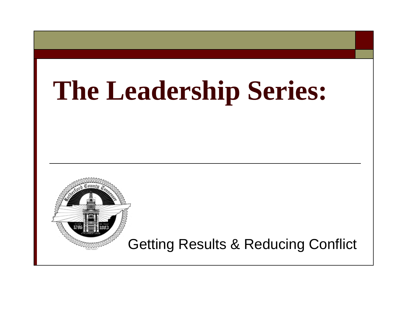# **The Leadership Series:**



#### Getting Results & Reducing Conflict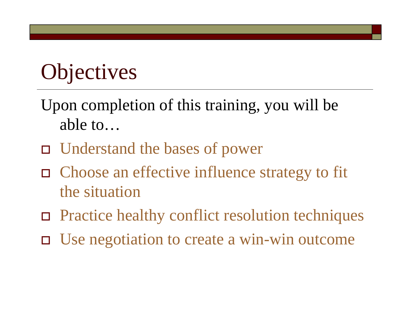## **Objectives**

Upon completion of this training, you will be able to…

- □ Understand the bases of power
- Choose an effective influence strategy to fit the situation
- □ Practice healthy conflict resolution techniques
- Use negotiation to create a win-win outcome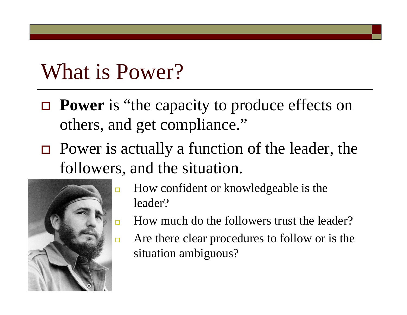### What is Power?

- **Power** is "the capacity to produce effects on others, and get compliance."
- Power is actually a function of the leader, the followers, and the situation.



- How confident or knowledgeable is the leader?
- How much do the followers trust the leader?
- Are there clear procedures to follow or is the situation ambiguous?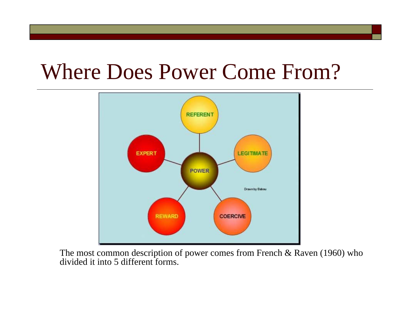#### Where Does Power Come From?



The most common description of power comes from French & Raven (1960) who divided it into 5 different forms.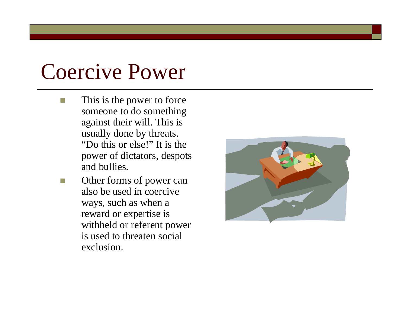#### Coercive Power

- This is the power to force someone to do something against their will. This is usually done by threats. "Do this or else!" It is the power of dictators, despots and bullies.
- $\mathcal{C}^{\mathcal{A}}$  Other forms of power can also be used in coercive ways, such as when a reward or expertise is withheld or referent power is used to threaten social exclusion.

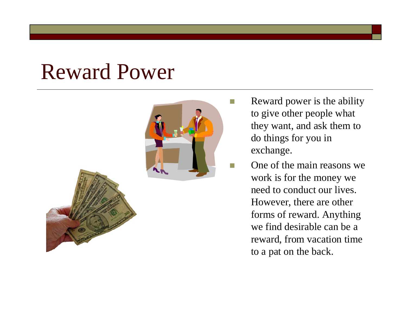#### Reward Power



- Reward power is the ability to give other people what they want, and ask them to do things for you in exchange.
- One of the main reasons we work is for the money we need to conduct our lives. However, there are other forms of reward. Anything we find desirable can be a reward, from vacation time to a pat on the back.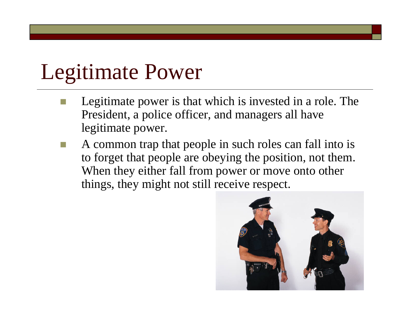## Legitimate Power

- Legitimate power is that which is invested in a role. The President, a police officer, and managers all have legitimate power.
- A common trap that people in such roles can fall into is to forget that people are obeying the position, not them. When they either fall from power or move onto other things, they might not still receive respect.

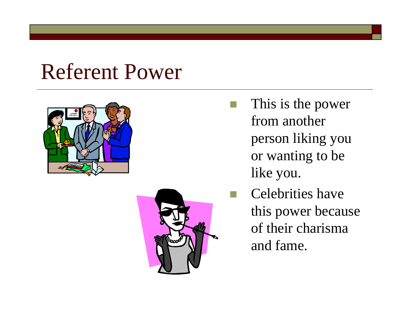#### Referent Power





- This is the power from another person liking you or wanting to be like you.
- Celebrities have this power because of their charisma and fame.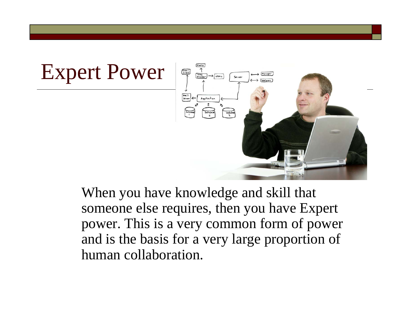## Expert Power



When you have knowledge and skill that someone else requires, then you have Expert power. This is a very common form of power and is the basis for a very large proportion of human collaboration.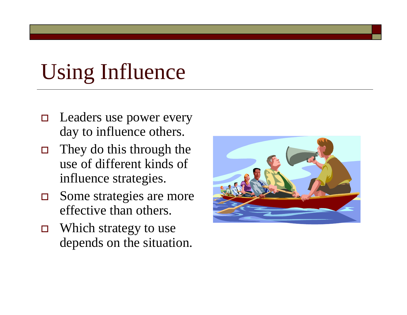## Using Influence

- $\Box$  Leaders use power every day to influence others.
- $\Box$  They do this through the use of different kinds of influence strategies.
- $\Box$  Some strategies are more effective than others.
- □ Which strategy to use depends on the situation.

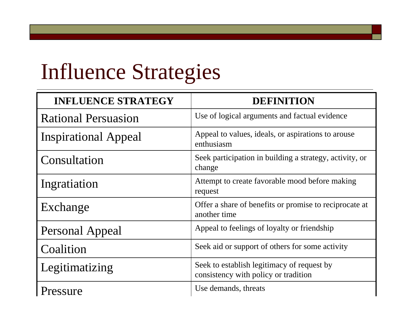## Influence Strategies

| <b>INFLUENCE STRATEGY</b>   | <b>DEFINITION</b>                                                                  |
|-----------------------------|------------------------------------------------------------------------------------|
| <b>Rational Persuasion</b>  | Use of logical arguments and factual evidence                                      |
| <b>Inspirational Appeal</b> | Appeal to values, ideals, or aspirations to arouse<br>enthusiasm                   |
| <b>Consultation</b>         | Seek participation in building a strategy, activity, or<br>change                  |
| Ingratiation                | Attempt to create favorable mood before making<br>request                          |
| Exchange                    | Offer a share of benefits or promise to reciprocate at<br>another time             |
| <b>Personal Appeal</b>      | Appeal to feelings of loyalty or friendship                                        |
| Coalition                   | Seek aid or support of others for some activity                                    |
| Legitimatizing              | Seek to establish legitimacy of request by<br>consistency with policy or tradition |
| Pressure                    | Use demands, threats                                                               |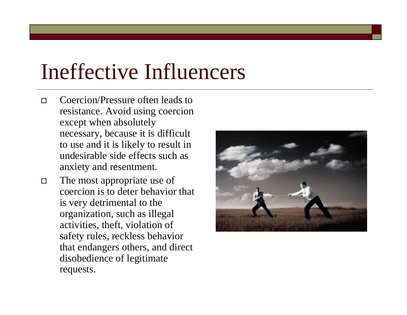#### Ineffective Influencers

- $\Box$  Coercion/Pressure often leads to resistance. Avoid using coercion except when absolutely necessary, because it is difficult to use and it is likely to result in undesirable side effects such as anxiety and resentment.
- $\Box$  The most appropriate use of coercion is to deter behavior that is very detrimental to the organization, such as illegal activities, theft, violation of safety rules, reckless behavior that endangers others, and direct disobedience of legitimate requests.

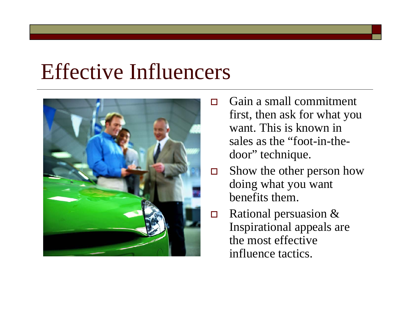#### Effective Influencers



- $\Box$  Gain a small commitment first, then ask for what you want. This is known in sales as the "foot-in-thedoor" technique.
- $\Box$  Show the other person how doing what you want benefits them.
- $\Box$  Rational persuasion & Inspirational appeals are the most effective influence tactics.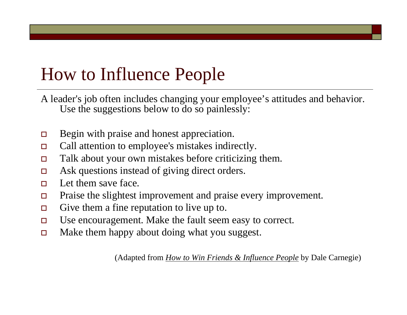#### How to Influence People

A leader's job often includes changing your employee's attitudes and behavior. Use the suggestions below to do so painlessly:

- $\Box$ Begin with praise and honest appreciation.
- $\Box$ Call attention to employee's mistakes indirectly.
- $\Box$ Talk about your own mistakes before criticizing them.
- $\Box$ Ask questions instead of giving direct orders.
- $\Box$ Let them save face.
- $\Box$ Praise the slightest improvement and praise every improvement.
- $\Box$ Give them a fine reputation to live up to.
- $\Box$ Use encouragement. Make the fault seem easy to correct.
- $\Box$ Make them happy about doing what you suggest.

(Adapted from *How to Win Friends & Influence People* by Dale Carnegie)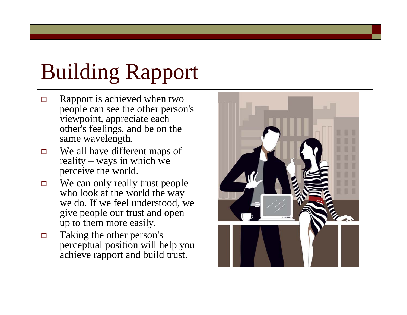# Building Rapport

- $\Box$  Rapport is achieved when two people can see the other person's viewpoint, appreciate each other's feelings, and be on the same wavelength.
- $\Box$  We all have different maps of reality – ways in which we perceive the world.
- $\Box$  We can only really trust people who look at the world the way we do. If we feel understood, we give people our trust and open up to them more easily.
- $\Box$  Taking the other person's perceptual position will help you achieve rapport and build trust.

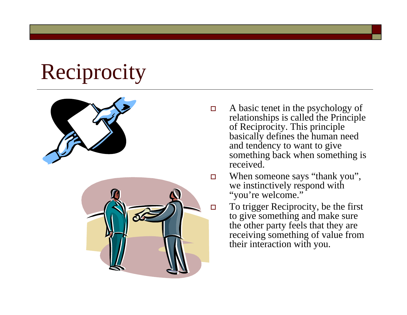## Reciprocity





- $\Box$  A basic tenet in the psychology of relationships is called the Principle of Reciprocity. This principle basically defines the human need and tendency to want to give something back when something is received.
	- When someone says "thank you", we instinctively respond with "you're welcome."
- To trigger Reciprocity, be the first to give something and make sure the other party feels that they are receiving something of value from their interaction with you.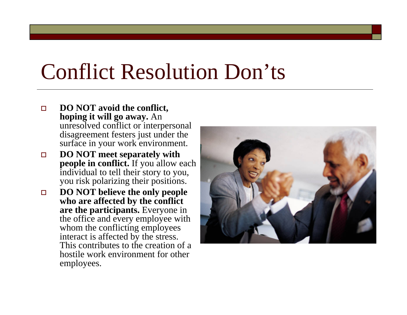#### Conflict Resolution Don'ts

- $\Box$  **DO NOT avoid the conflict, hoping it will go away.** An unresolved conflict or interpersonal disagreement festers just under the surface in your work environment.
- $\Box$  **DO NOT meet separately with people in conflict.** If you allow each individual to tell their story to you, you risk polarizing their positions.
- $\Box$  **DO NOT believe the only people who are affected by the conflict are the participants.** Everyone in the office and every employee with whom the conflicting employees interact is affected by the stress. This contributes to the creation of a hostile work environment for other employees.

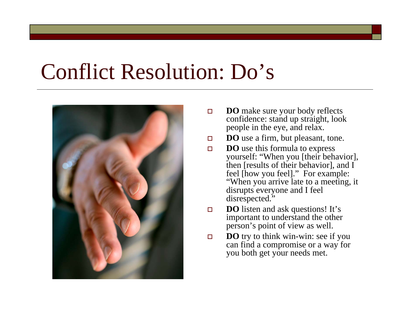#### Conflict Resolution: Do's



- $\Box$  **DO** make sure your body reflects confidence: stand up straight, look people in the eye, and relax.
- $\Box$ **DO** use a firm, but pleasant, tone.
- $\Box$  **DO** use this formula to express yourself: "When you [their behavior], then [results of their behavior], and I feel [how you feel]." For example: "When you arrive late to a meeting, it disrupts everyone and I feel disrespected."
- $\Box$  **DO** listen and ask questions! It's important to understand the other person's point of view as well.
- $\Box$ **DO** try to think win-win: see if you can find a compromise or a way for you both get your needs met.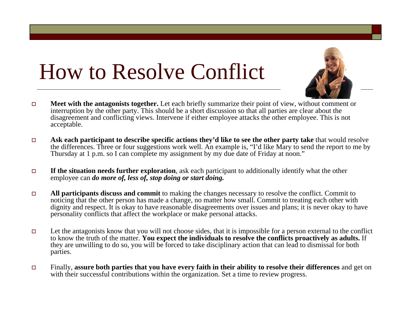## How to Resolve Conflict



- $\Box$  **Meet with the antagonists together.** Let each briefly summarize their point of view, without comment or interruption by the other party. This should be a short discussion so that all parties are clear about the disagreement and conflicting views. Intervene if either employee attacks the other employee. This is not acceptable.
- $\Box$  **Ask each participant to describe specific actions they'd like to see the other party take** that would resolve the differences. Three or four suggestions work well. An example is, "I'd like Mary to send the report to me by Thursday at 1 p.m. so I can complete my assignment by my due date of Friday at noon."
- $\Box$  **If the situation needs further exploration**, ask each participant to additionally identify what the other employee can *do more of, less of, stop doing or start doing.*
- $\Box$  **All participants discuss and commit** to making the changes necessary to resolve the conflict. Commit to noticing that the other person has made a change, no matter how small. Commit to treating each other with dignity and respect. It is okay to have reasonable disagreements over issues and plans; it is never okay to have personality conflicts that affect the workplace or make personal attacks.
- $\Box$  Let the antagonists know that you will not choose sides, that it is impossible for a person external to the conflict to know the truth of the matter. **You expect the individuals to resolve the conflicts proactively as adults.** If they are unwilling to do so, you will be forced to take disciplinary action that can lead to dismissal for both parties.
- $\Box$  Finally, **assure both parties that you have every faith in their ability to resolve their differences** and get on with their successful contributions within the organization. Set a time to review progress.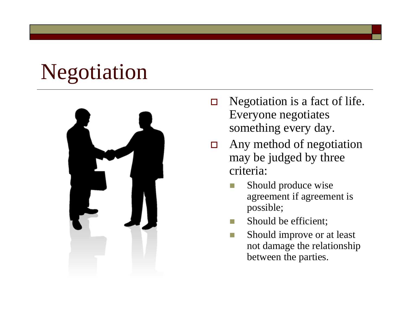## Negotiation



- $\Box$  Negotiation is a fact of life. Everyone negotiates something every day.
- $\Box$  Any method of negotiation may be judged by three criteria:
	- H Should produce wise agreement if agreement is possible;
	- Should be efficient;
	- n. Should improve or at least not damage the relationship between the parties.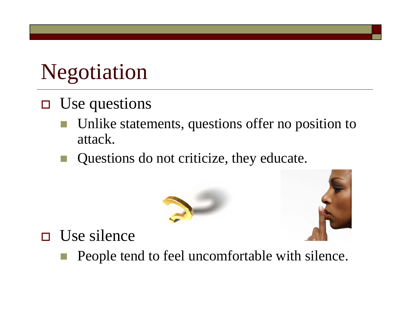## Negotiation

- $\Box$  Use questions
	- Unlike statements, questions offer no position to attack.
	- Questions do not criticize, they educate.





- $\Box$  Use silence
	- People tend to feel uncomfortable with silence.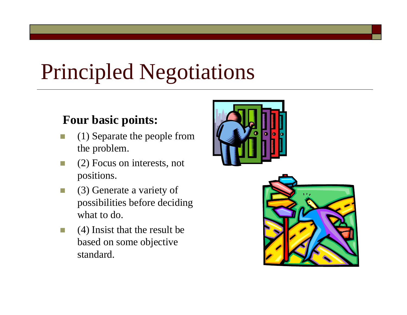## Principled Negotiations

#### **Four basic points:**

- T. (1) Separate the people from the problem.
- n. (2) Focus on interests, not positions.
- $\sim$  (3) Generate a variety of possibilities before deciding what to do.
- (4) Insist that the result be based on some objective standard.



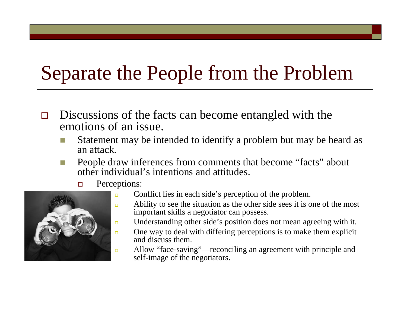#### Separate the People from the Problem

- П Discussions of the facts can become entangled with the emotions of an issue.
	- Statement may be intended to identify a problem but may be heard as an attack.
	- m. People draw inferences from comments that become "facts" about other individual's intentions and attitudes.
		- $\Box$ Perceptions:



- Conflict lies in each side's perception of the problem.
- Ability to see the situation as the other side sees it is one of the most important skills a negotiator can possess.
- Understanding other side's position does not mean agreeing with it.
- One way to deal with differing perceptions is to make them explicit and discuss them.
	- Allow "face-saving"—reconciling an agreement with principle and self-image of the negotiators.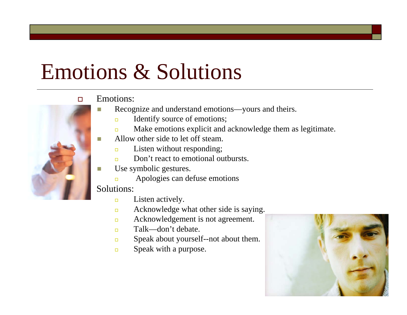### Emotions & Solutions



- Emotions:
	- Recognize and understand emotions—yours and theirs.
		- $\Box$ Identify source of emotions;
		- $\Box$ Make emotions explicit and acknowledge them as legitimate.
	- Allow other side to let off steam.
		- $\Box$ Listen without responding;
		- $\Box$ Don't react to emotional outbursts.
	- Г Use symbolic gestures.
		- $\Box$ Apologies can defuse emotions

Solutions:

- $\Box$ Listen actively.
- $\Box$ Acknowledge what other side is saying.
- $\Box$ Acknowledgement is not agreement.
- $\Box$ Talk—don't debate.
- $\Box$ Speak about yourself--not about them.
- $\Box$ Speak with a purpose.



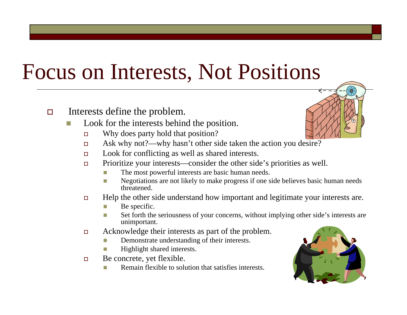## Focus on Interests, Not Positions

#### $\Box$ Interests define the problem.

- F Look for the interests behind the position.
	- $\Box$ Why does party hold that position?
	- $\Box$ Ask why not?—why hasn't other side taken the action you desire?
	- $\Box$ Look for conflicting as well as shared interests.
	- $\Box$  Prioritize your interests—consider the other side's priorities as well.
		- T. The most powerful interests are basic human needs.
		- $\overline{\phantom{a}}$  Negotiations are not likely to make progress if one side believes basic human needs threatened.
	- $\Box$  Help the other side understand how important and legitimate your interests are.
		- T. Be specific.
		- **I**  Set forth the seriousness of your concerns, without implying other side's interests are unimportant.
	- $\Box$  Acknowledge their interests as part of the problem.
		- **Tale** Demonstrate understanding of their interests.
		- Highlight shared interests.
	- $\Box$  Be concrete, yet flexible.
		- T. Remain flexible to solution that satisfies interests.

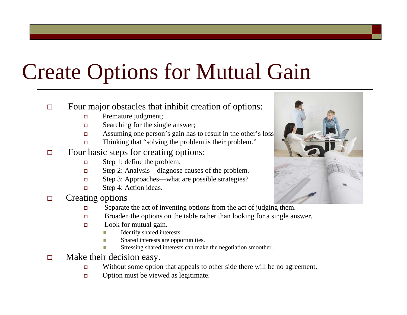## Create Options for Mutual Gain

#### $\Box$ Four major obstacles that inhibit creation of options:

- $\Box$ Premature judgment;
- $\Box$ Searching for the single answer;
- $\Box$ Assuming one person's gain has to result in the other's loss
- $\Box$ Thinking that "solving the problem is their problem."
- $\Box$  Four basic steps for creating options:
	- $\Box$ Step 1: define the problem.
	- $\Box$ Step 2: Analysis—diagnose causes of the problem.
	- $\Box$ Step 3: Approaches—what are possible strategies?
	- $\Box$ Step 4: Action ideas.

#### $\Box$ Creating options

- $\Box$ Separate the act of inventing options from the act of judging them.
- $\Box$ Broaden the options on the table rather than looking for a single answer.
- $\Box$  Look for mutual gain.
	- ×. Identify shared interests.
	- ×. Shared interests are opportunities.
	- Stressing shared interests can make the negotiation smoother.
- $\Box$  Make their decision easy.
	- $\Box$ Without some option that appeals to other side there will be no agreement.
	- $\Box$ Option must be viewed as legitimate.

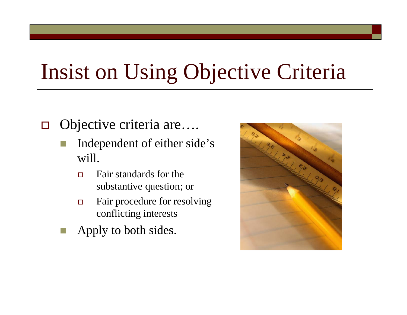## Insist on Using Objective Criteria

- $\Box$  Objective criteria are….
	- Independent of either side's will.
		- $\Box$  Fair standards for the substantive question; or
		- $\Box$  Fair procedure for resolving conflicting interests
	- Apply to both sides.